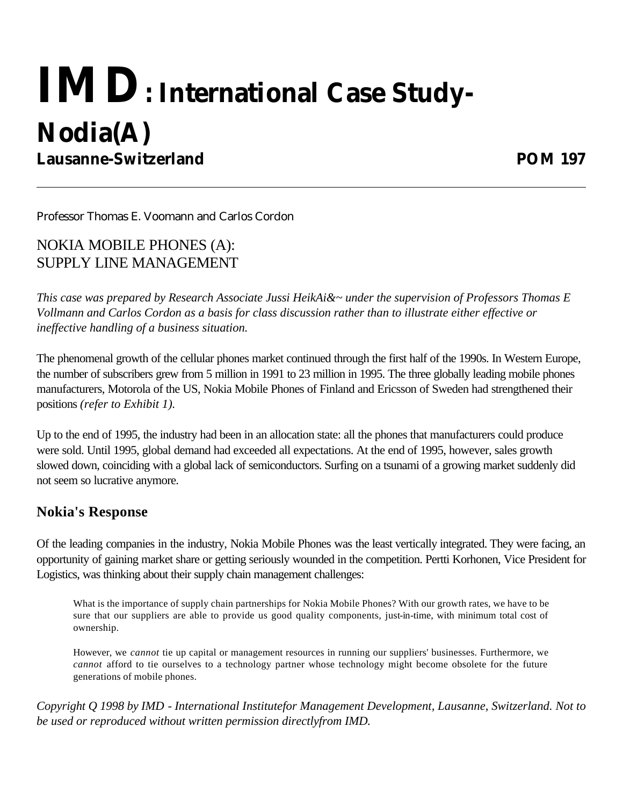# **IMD: International Case Study-Nodia(A) Lausanne-Switzerland POM 197**

Professor Thomas E. Voomann and Carlos Cordon

NOKIA MOBILE PHONES (A): SUPPLY LINE MANAGEMENT

*This case was prepared by Research Associate Jussi HeikAi&~ under the supervision of Professors Thomas E Vollmann and Carlos Cordon as a basis for class discussion rather than to illustrate either effective or ineffective handling of a business situation.*

The phenomenal growth of the cellular phones market continued through the first half of the 1990s. In Western Europe, the number of subscribers grew from 5 million in 1991 to 23 million in 1995. The three globally leading mobile phones manufacturers, Motorola of the US, Nokia Mobile Phones of Finland and Ericsson of Sweden had strengthened their positions *(refer to Exhibit 1).*

Up to the end of 1995, the industry had been in an allocation state: all the phones that manufacturers could produce were sold. Until 1995, global demand had exceeded all expectations. At the end of 1995, however, sales growth slowed down, coinciding with a global lack of semiconductors. Surfing on a tsunami of a growing market suddenly did not seem so lucrative anymore.

## **Nokia's Response**

Of the leading companies in the industry, Nokia Mobile Phones was the least vertically integrated. They were facing, an opportunity of gaining market share or getting seriously wounded in the competition. Pertti Korhonen, Vice President for Logistics, was thinking about their supply chain management challenges:

What is the importance of supply chain partnerships for Nokia Mobile Phones? With our growth rates, we have to be sure that our suppliers are able to provide us good quality components, just-in-time, with minimum total cost of ownership.

However, we *cannot* tie up capital or management resources in running our suppliers' businesses. Furthermore, we *cannot* afford to tie ourselves to a technology partner whose technology might become obsolete for the future generations of mobile phones.

*Copyright Q 1998 by IMD - International Institutefor Management Development, Lausanne, Switzerland. Not to be used or reproduced without written permission directlyfrom IMD.*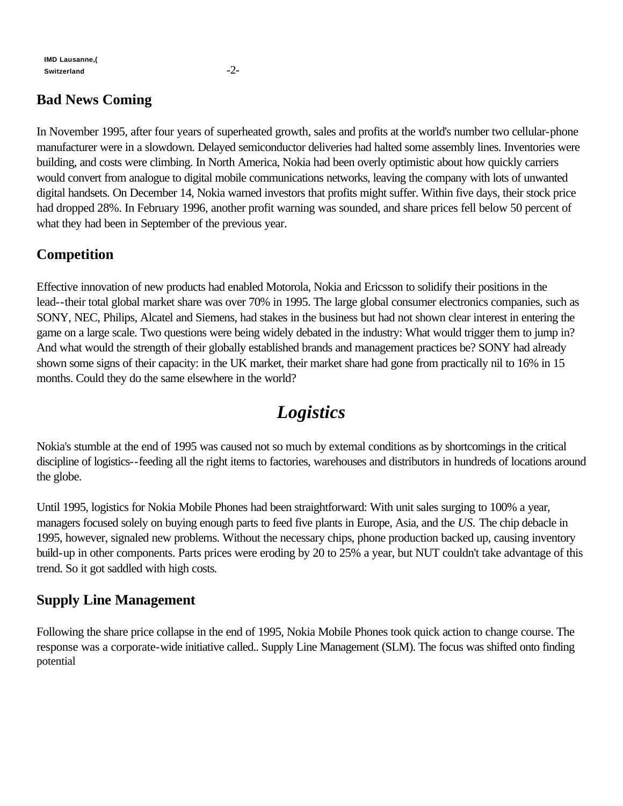#### **IMD Lausanne,( Switzerland** -2-

# **Bad News Coming**

In November 1995, after four years of superheated growth, sales and profits at the world's number two cellular-phone manufacturer were in a slowdown. Delayed semiconductor deliveries had halted some assembly lines. Inventories were building, and costs were climbing. In North America, Nokia had been overly optimistic about how quickly carriers would convert from analogue to digital mobile communications networks, leaving the company with lots of unwanted digital handsets. On December 14, Nokia warned investors that profits might suffer. Within five days, their stock price had dropped 28%. In February 1996, another profit warning was sounded, and share prices fell below 50 percent of what they had been in September of the previous year.

# **Competition**

Effective innovation of new products had enabled Motorola, Nokia and Ericsson to solidify their positions in the lead--their total global market share was over 70% in 1995. The large global consumer electronics companies, such as SONY, NEC, Philips, Alcatel and Siemens, had stakes in the business but had not shown clear interest in entering the game on a large scale. Two questions were being widely debated in the industry: What would trigger them to jump in? And what would the strength of their globally established brands and management practices be? SONY had already shown some signs of their capacity: in the UK market, their market share had gone from practically nil to 16% in 15 months. Could they do the same elsewhere in the world?

# *Logistics*

Nokia's stumble at the end of 1995 was caused not so much by extemal conditions as by shortcomings in the critical discipline of logistics--feeding all the right items to factories, warehouses and distributors in hundreds of locations around the globe.

Until 1995, logistics for Nokia Mobile Phones had been straightforward: With unit sales surging to 100% a year, managers focused solely on buying enough parts to feed five plants in Europe, Asia, and the *US.* The chip debacle in 1995, however, signaled new problems. Without the necessary chips, phone production backed up, causing inventory build-up in other components. Parts prices were eroding by 20 to 25% a year, but NUT couldn't take advantage of this trend. So it got saddled with high costs*.*

# **Supply Line Management**

Following the share price collapse in the end of 1995, Nokia Mobile Phones took quick action to change course. The response was a corporate-wide initiative called.. Supply Line Management (SLM). The focus was shifted onto finding potential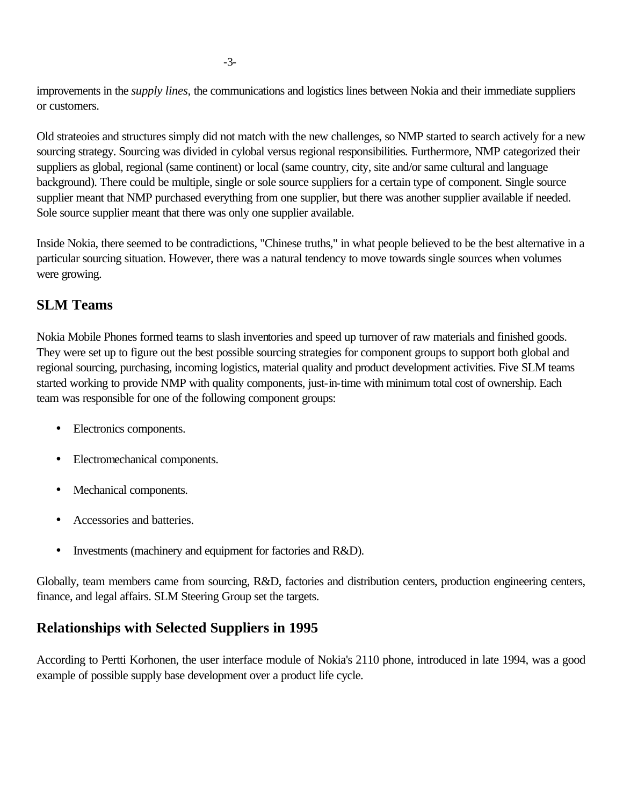improvements in the *supply lines,* the communications and logistics lines between Nokia and their immediate suppliers or customers.

Old strateoies and structures simply did not match with the new challenges, so NMP started to search actively for a new sourcing strategy. Sourcing was divided in cylobal versus regional responsibilities*.* Furthermore, NMP categorized their suppliers as global, regional (same continent) or local (same country, city, site and/or same cultural and language background). There could be multiple, single or sole source suppliers for a certain type of component. Single source supplier meant that NMP purchased everything from one supplier, but there was another supplier available if needed. Sole source supplier meant that there was only one supplier available.

Inside Nokia, there seemed to be contradictions, "Chinese truths," in what people believed to be the best alternative in a particular sourcing situation. However, there was a natural tendency to move towards single sources when volumes were growing.

### **SLM Teams**

Nokia Mobile Phones formed teams to slash inventories and speed up turnover of raw materials and finished goods. They were set up to figure out the best possible sourcing strategies for component groups to support both global and regional sourcing, purchasing, incoming logistics, material quality and product development activities. Five SLM teams started working to provide NMP with quality components, just-in-time with minimum total cost of ownership. Each team was responsible for one of the following component groups:

- Electronics components.
- Electromechanical components.
- Mechanical components.
- Accessories and batteries.
- Investments (machinery and equipment for factories and R&D).

Globally, team members came from sourcing, R&D, factories and distribution centers, production engineering centers, finance, and legal affairs. SLM Steering Group set the targets.

# **Relationships with Selected Suppliers in 1995**

According to Pertti Korhonen, the user interface module of Nokia's 2110 phone, introduced in late 1994, was a good example of possible supply base development over a product life cycle.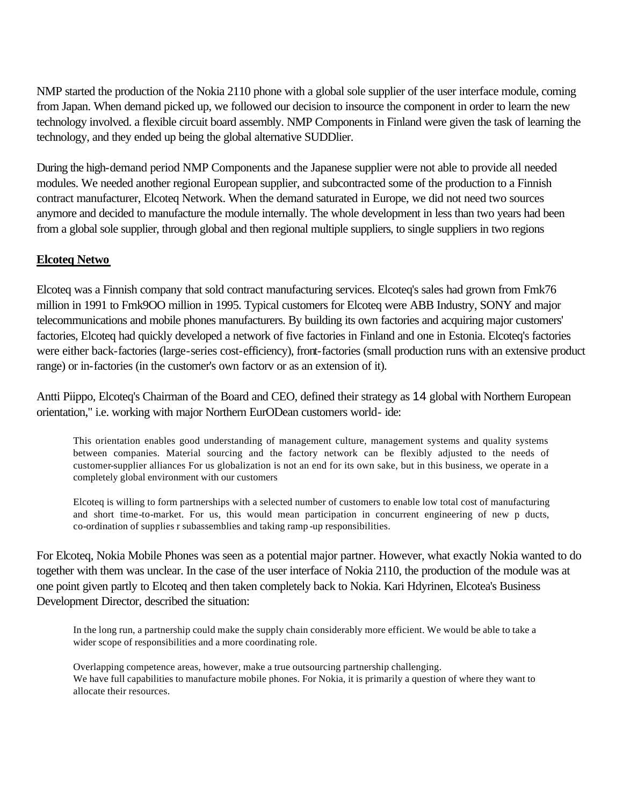NMP started the production of the Nokia 2110 phone with a global sole supplier of the user interface module, coming from Japan. When demand picked up, we followed our decision to insource the component in order to learn the new technology involved. a flexible circuit board assembly. NMP Components in Finland were given the task of learning the technology, and they ended up being the global alternative SUDDlier.

During the high-demand period NMP Components and the Japanese supplier were not able to provide all needed modules. We needed another regional European supplier, and subcontracted some of the production to a Finnish contract manufacturer, Elcoteq Network. When the demand saturated in Europe, we did not need two sources anymore and decided to manufacture the module internally. The whole development in less than two years had been from a global sole supplier, through global and then regional multiple suppliers, to single suppliers in two regions

#### **Elcoteq Netwo**

Elcoteq was a Finnish company that sold contract manufacturing services. Elcoteq's sales had grown from Fmk76 million in 1991 to Fmk9OO million in 1995. Typical customers for Elcoteq were ABB Industry, SONY and major telecommunications and mobile phones manufacturers. By building its own factories and acquiring major customers' factories, Elcoteq had quickly developed a network of five factories in Finland and one in Estonia. Elcoteq's factories were either back-factories (large-series cost-efficiency), front-factories (small production runs with an extensive product range) or in-factories (in the customer's own factorv or as an extension of it).

Antti Piippo, Elcoteq's Chairman of the Board and CEO, defined their strategy as 14 global with Northern European orientation," i.e. working with major Northern EurODean customers world- ide:

This orientation enables good understanding of management culture, management systems and quality systems between companies. Material sourcing and the factory network can be flexibly adjusted to the needs of customer-supplier alliances For us globalization is not an end for its own sake, but in this business, we operate in a completely global environment with our customers

Elcoteq is willing to form partnerships with a selected number of customers to enable low total cost of manufacturing and short time-to-market. For us, this would mean participation in concurrent engineering of new p ducts, co-ordination of supplies r subassemblies and taking ramp -up responsibilities.

For Elcoteq, Nokia Mobile Phones was seen as a potential major partner. However, what exactly Nokia wanted to do together with them was unclear. In the case of the user interface of Nokia 2110, the production of the module was at one point given partly to Elcoteq and then taken completely back to Nokia. Kari Hdyrinen, Elcotea's Business Development Director, described the situation:

In the long run, a partnership could make the supply chain considerably more efficient. We would be able to take a wider scope of responsibilities and a more coordinating role.

Overlapping competence areas, however, make a true outsourcing partnership challenging. We have full capabilities to manufacture mobile phones. For Nokia, it is primarily a question of where they want to allocate their resources.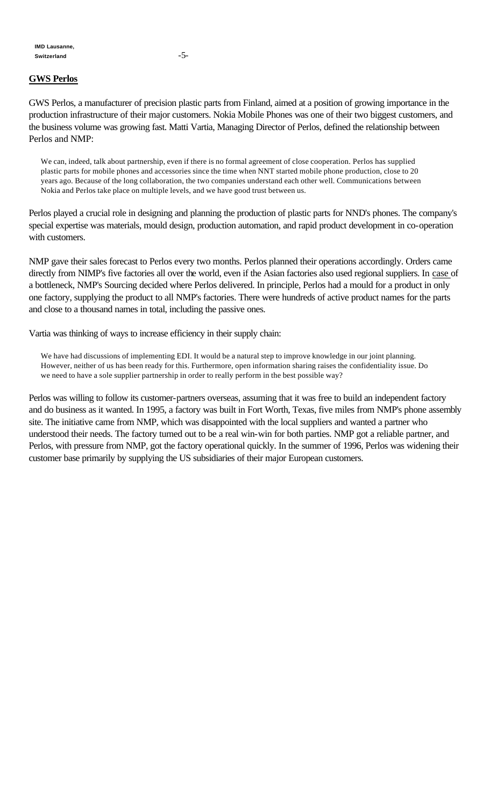#### **GWS Perlos**

GWS Perlos, a manufacturer of precision plastic parts from Finland, aimed at a position of growing importance in the production infrastructure of their major customers. Nokia Mobile Phones was one of their two biggest customers, and the business volume was growing fast. Matti Vartia, Managing Director of Perlos, defined the relationship between Perlos and NMP:

We can, indeed, talk about partnership, even if there is no formal agreement of close cooperation. Perlos has supplied plastic parts for mobile phones and accessories since the time when NNT started mobile phone production, close to 20 years ago. Because of the long collaboration, the two companies understand each other well. Communications between Nokia and Perlos take place on multiple levels, and we have good trust between us.

Perlos played a crucial role in designing and planning the production of plastic parts for NND's phones. The company's special expertise was materials, mould design, production automation, and rapid product development in co-operation with customers.

NMP gave their sales forecast to Perlos every two months. Perlos planned their operations accordingly. Orders came directly from NIMP's five factories all over the world, even if the Asian factories also used regional suppliers. In case of a bottleneck, NMP's Sourcing decided where Perlos delivered. In principle, Perlos had a mould for a product in only one factory, supplying the product to all NMP's factories. There were hundreds of active product names for the parts and close to a thousand names in total, including the passive ones.

Vartia was thinking of ways to increase efficiency in their supply chain:

We have had discussions of implementing EDI. It would be a natural step to improve knowledge in our joint planning. However, neither of us has been ready for this. Furthermore, open information sharing raises the confidentiality issue. Do we need to have a sole supplier partnership in order to really perform in the best possible way?

Perlos was willing to follow its customer-partners overseas, assuming that it was free to build an independent factory and do business as it wanted. In 1995, a factory was built in Fort Worth, Texas, five miles from NMP's phone assembly site. The initiative came from NMP, which was disappointed with the local suppliers and wanted a partner who understood their needs. The factory turned out to be a real win-win for both parties. NMP got a reliable partner, and Perlos, with pressure from NMP, got the factory operational quickly. In the summer of 1996, Perlos was widening their customer base primarily by supplying the US subsidiaries of their major European customers.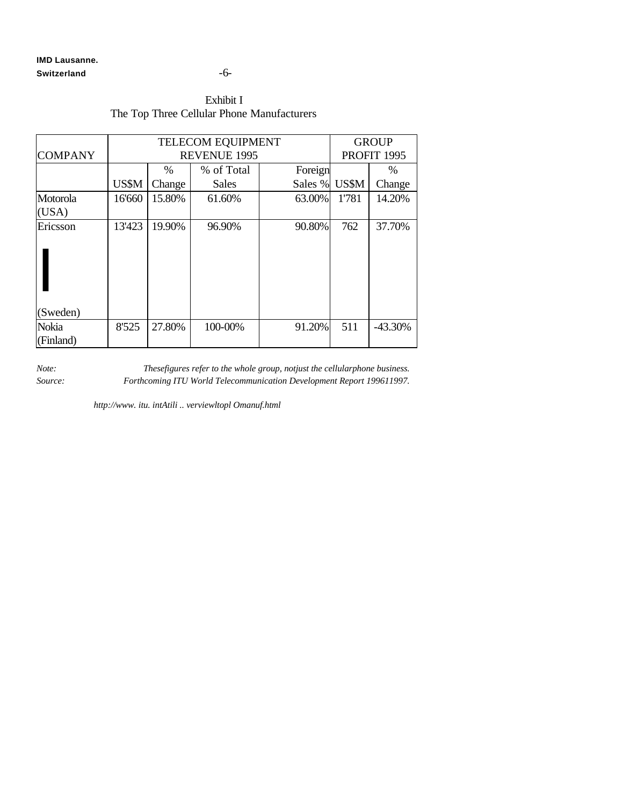#### **IMD Lausanne.** Switzerland -6-

#### Exhibit I The Top Three Cellular Phone Manufacturers

|                | <b>TELECOM EQUIPMENT</b> |        |              |         | <b>GROUP</b> |           |
|----------------|--------------------------|--------|--------------|---------|--------------|-----------|
| <b>COMPANY</b> | <b>REVENUE 1995</b>      |        |              |         | PROFIT 1995  |           |
|                |                          | $\%$   | % of Total   | Foreign |              | $\%$      |
|                | US\$M                    | Change | <b>Sales</b> | Sales % | US\$M        | Change    |
| Motorola       | 16'660                   | 15.80% | 61.60%       | 63.00%  | 1'781        | 14.20%    |
| (USA)          |                          |        |              |         |              |           |
| Ericsson       | 13'423                   | 19.90% | 96.90%       | 90.80%  | 762          | 37.70%    |
| (Sweden)       |                          |        |              |         |              |           |
| Nokia          | 8'525                    | 27.80% | 100-00%      | 91.20%  | 511          | $-43.30%$ |
| (Finland)      |                          |        |              |         |              |           |

*Note: Thesefigures refer to the whole group, notjust the cellularphone business. Source: Forthcoming ITU World Telecommunication Development Report 199611997.*

*http://www. itu. intAtili .. verviewltopl Omanuf.html*